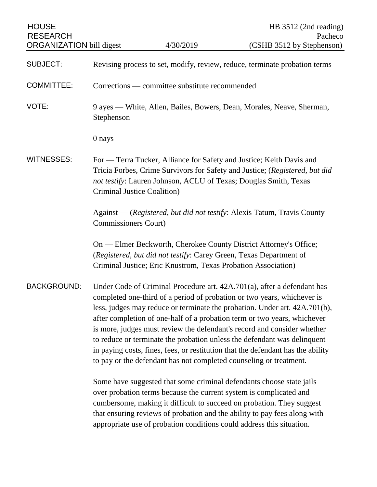| <b>HOUSE</b><br><b>RESEARCH</b><br><b>ORGANIZATION bill digest</b> |                                                                                                                                                                                                                                                                                                                                                                                                                                                                                                                                                                                                                              | 4/30/2019                                                                                                                           | HB $3512$ (2nd reading)<br>Pacheco<br>(CSHB 3512 by Stephenson)                                                                                                                                                                                                                                                                                                           |
|--------------------------------------------------------------------|------------------------------------------------------------------------------------------------------------------------------------------------------------------------------------------------------------------------------------------------------------------------------------------------------------------------------------------------------------------------------------------------------------------------------------------------------------------------------------------------------------------------------------------------------------------------------------------------------------------------------|-------------------------------------------------------------------------------------------------------------------------------------|---------------------------------------------------------------------------------------------------------------------------------------------------------------------------------------------------------------------------------------------------------------------------------------------------------------------------------------------------------------------------|
| <b>SUBJECT:</b>                                                    |                                                                                                                                                                                                                                                                                                                                                                                                                                                                                                                                                                                                                              |                                                                                                                                     | Revising process to set, modify, review, reduce, terminate probation terms                                                                                                                                                                                                                                                                                                |
| <b>COMMITTEE:</b>                                                  |                                                                                                                                                                                                                                                                                                                                                                                                                                                                                                                                                                                                                              | Corrections — committee substitute recommended                                                                                      |                                                                                                                                                                                                                                                                                                                                                                           |
| VOTE:                                                              | Stephenson                                                                                                                                                                                                                                                                                                                                                                                                                                                                                                                                                                                                                   |                                                                                                                                     | 9 ayes — White, Allen, Bailes, Bowers, Dean, Morales, Neave, Sherman,                                                                                                                                                                                                                                                                                                     |
|                                                                    | 0 nays                                                                                                                                                                                                                                                                                                                                                                                                                                                                                                                                                                                                                       |                                                                                                                                     |                                                                                                                                                                                                                                                                                                                                                                           |
| <b>WITNESSES:</b>                                                  | Criminal Justice Coalition)                                                                                                                                                                                                                                                                                                                                                                                                                                                                                                                                                                                                  |                                                                                                                                     | For — Terra Tucker, Alliance for Safety and Justice; Keith Davis and<br>Tricia Forbes, Crime Survivors for Safety and Justice; (Registered, but did<br>not testify: Lauren Johnson, ACLU of Texas; Douglas Smith, Texas                                                                                                                                                   |
|                                                                    | Commissioners Court)                                                                                                                                                                                                                                                                                                                                                                                                                                                                                                                                                                                                         |                                                                                                                                     | Against — (Registered, but did not testify: Alexis Tatum, Travis County                                                                                                                                                                                                                                                                                                   |
|                                                                    |                                                                                                                                                                                                                                                                                                                                                                                                                                                                                                                                                                                                                              | (Registered, but did not testify: Carey Green, Texas Department of<br>Criminal Justice; Eric Knustrom, Texas Probation Association) | On — Elmer Beckworth, Cherokee County District Attorney's Office;                                                                                                                                                                                                                                                                                                         |
| <b>BACKGROUND:</b>                                                 | Under Code of Criminal Procedure art. 42A.701(a), after a defendant has<br>completed one-third of a period of probation or two years, whichever is<br>less, judges may reduce or terminate the probation. Under art. 42A.701(b),<br>after completion of one-half of a probation term or two years, whichever<br>is more, judges must review the defendant's record and consider whether<br>to reduce or terminate the probation unless the defendant was delinquent<br>in paying costs, fines, fees, or restitution that the defendant has the ability<br>to pay or the defendant has not completed counseling or treatment. |                                                                                                                                     |                                                                                                                                                                                                                                                                                                                                                                           |
|                                                                    |                                                                                                                                                                                                                                                                                                                                                                                                                                                                                                                                                                                                                              |                                                                                                                                     | Some have suggested that some criminal defendants choose state jails<br>over probation terms because the current system is complicated and<br>cumbersome, making it difficult to succeed on probation. They suggest<br>that ensuring reviews of probation and the ability to pay fees along with<br>appropriate use of probation conditions could address this situation. |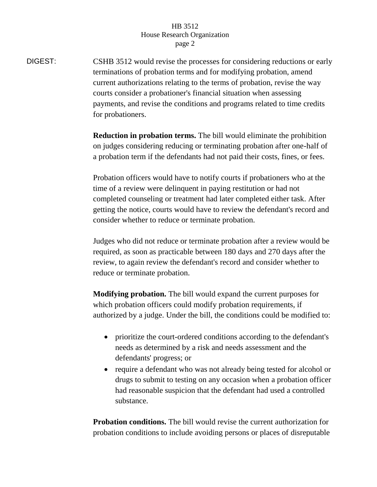## HB 3512 House Research Organization page 2

DIGEST: CSHB 3512 would revise the processes for considering reductions or early terminations of probation terms and for modifying probation, amend current authorizations relating to the terms of probation, revise the way courts consider a probationer's financial situation when assessing payments, and revise the conditions and programs related to time credits for probationers.

> **Reduction in probation terms.** The bill would eliminate the prohibition on judges considering reducing or terminating probation after one-half of a probation term if the defendants had not paid their costs, fines, or fees.

> Probation officers would have to notify courts if probationers who at the time of a review were delinquent in paying restitution or had not completed counseling or treatment had later completed either task. After getting the notice, courts would have to review the defendant's record and consider whether to reduce or terminate probation.

> Judges who did not reduce or terminate probation after a review would be required, as soon as practicable between 180 days and 270 days after the review, to again review the defendant's record and consider whether to reduce or terminate probation.

> **Modifying probation.** The bill would expand the current purposes for which probation officers could modify probation requirements, if authorized by a judge. Under the bill, the conditions could be modified to:

- prioritize the court-ordered conditions according to the defendant's needs as determined by a risk and needs assessment and the defendants' progress; or
- require a defendant who was not already being tested for alcohol or drugs to submit to testing on any occasion when a probation officer had reasonable suspicion that the defendant had used a controlled substance.

**Probation conditions.** The bill would revise the current authorization for probation conditions to include avoiding persons or places of disreputable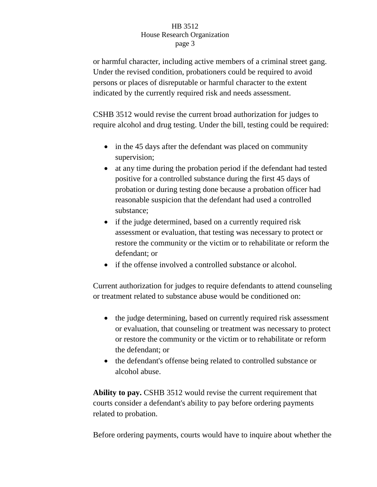## HB 3512 House Research Organization page 3

or harmful character, including active members of a criminal street gang. Under the revised condition, probationers could be required to avoid persons or places of disreputable or harmful character to the extent indicated by the currently required risk and needs assessment.

CSHB 3512 would revise the current broad authorization for judges to require alcohol and drug testing. Under the bill, testing could be required:

- in the 45 days after the defendant was placed on community supervision;
- at any time during the probation period if the defendant had tested positive for a controlled substance during the first 45 days of probation or during testing done because a probation officer had reasonable suspicion that the defendant had used a controlled substance;
- if the judge determined, based on a currently required risk assessment or evaluation, that testing was necessary to protect or restore the community or the victim or to rehabilitate or reform the defendant; or
- if the offense involved a controlled substance or alcohol.

Current authorization for judges to require defendants to attend counseling or treatment related to substance abuse would be conditioned on:

- the judge determining, based on currently required risk assessment or evaluation, that counseling or treatment was necessary to protect or restore the community or the victim or to rehabilitate or reform the defendant; or
- the defendant's offense being related to controlled substance or alcohol abuse.

**Ability to pay.** CSHB 3512 would revise the current requirement that courts consider a defendant's ability to pay before ordering payments related to probation.

Before ordering payments, courts would have to inquire about whether the